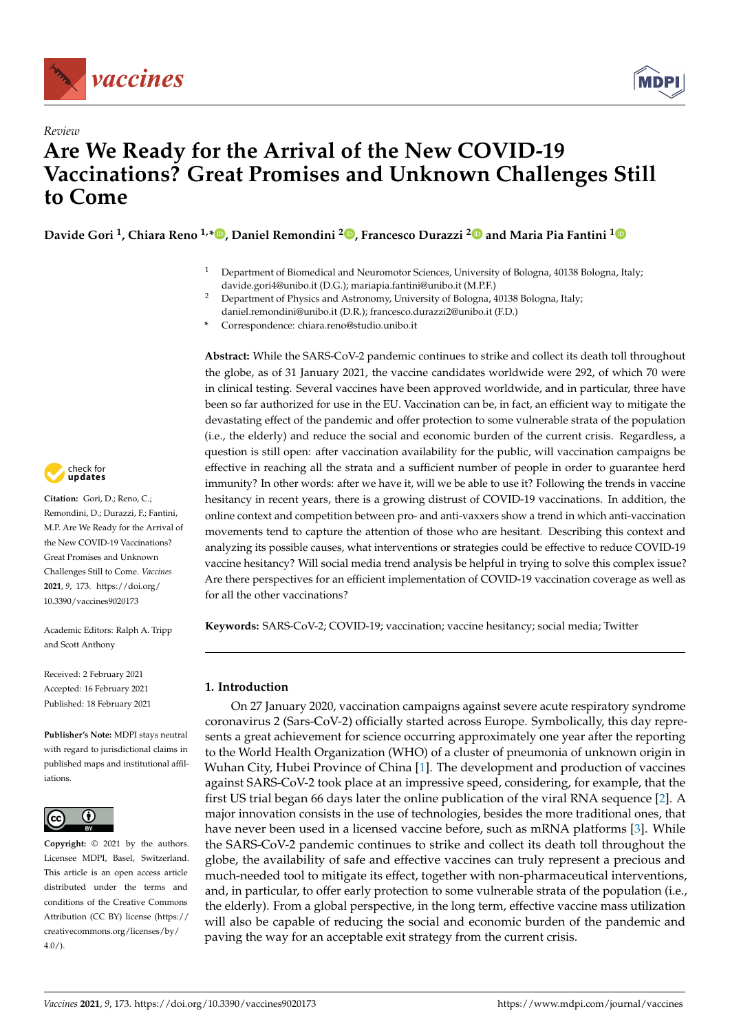



# *Review* **Are We Ready for the Arrival of the New COVID-19 Vaccinations? Great Promises and Unknown Challenges Still to Come**

**Davide Gori <sup>1</sup> , Chiara Reno 1,\* [,](https://orcid.org/0000-0002-7933-2141) Daniel Remondini <sup>2</sup> [,](https://orcid.org/0000-0003-3185-7456) Francesco Durazzi [2](https://orcid.org/0000-0001-8729-6438) and Maria Pia Fantini [1](https://orcid.org/0000-0002-3257-6552)**

- <sup>1</sup> Department of Biomedical and Neuromotor Sciences, University of Bologna, 40138 Bologna, Italy; davide.gori4@unibo.it (D.G.); mariapia.fantini@unibo.it (M.P.F.)
- <sup>2</sup> Department of Physics and Astronomy, University of Bologna, 40138 Bologna, Italy; daniel.remondini@unibo.it (D.R.); francesco.durazzi2@unibo.it (F.D.)
- **\*** Correspondence: chiara.reno@studio.unibo.it

**Abstract:** While the SARS-CoV-2 pandemic continues to strike and collect its death toll throughout the globe, as of 31 January 2021, the vaccine candidates worldwide were 292, of which 70 were in clinical testing. Several vaccines have been approved worldwide, and in particular, three have been so far authorized for use in the EU. Vaccination can be, in fact, an efficient way to mitigate the devastating effect of the pandemic and offer protection to some vulnerable strata of the population (i.e., the elderly) and reduce the social and economic burden of the current crisis. Regardless, a question is still open: after vaccination availability for the public, will vaccination campaigns be effective in reaching all the strata and a sufficient number of people in order to guarantee herd immunity? In other words: after we have it, will we be able to use it? Following the trends in vaccine hesitancy in recent years, there is a growing distrust of COVID-19 vaccinations. In addition, the online context and competition between pro- and anti-vaxxers show a trend in which anti-vaccination movements tend to capture the attention of those who are hesitant. Describing this context and analyzing its possible causes, what interventions or strategies could be effective to reduce COVID-19 vaccine hesitancy? Will social media trend analysis be helpful in trying to solve this complex issue? Are there perspectives for an efficient implementation of COVID-19 vaccination coverage as well as for all the other vaccinations?

**Keywords:** SARS-CoV-2; COVID-19; vaccination; vaccine hesitancy; social media; Twitter

# **1. Introduction**

On 27 January 2020, vaccination campaigns against severe acute respiratory syndrome coronavirus 2 (Sars-CoV-2) officially started across Europe. Symbolically, this day represents a great achievement for science occurring approximately one year after the reporting to the World Health Organization (WHO) of a cluster of pneumonia of unknown origin in Wuhan City, Hubei Province of China [\[1\]](#page-6-0). The development and production of vaccines against SARS-CoV-2 took place at an impressive speed, considering, for example, that the first US trial began 66 days later the online publication of the viral RNA sequence [\[2\]](#page-6-1). A major innovation consists in the use of technologies, besides the more traditional ones, that have never been used in a licensed vaccine before, such as mRNA platforms [\[3\]](#page-6-2). While the SARS-CoV-2 pandemic continues to strike and collect its death toll throughout the globe, the availability of safe and effective vaccines can truly represent a precious and much-needed tool to mitigate its effect, together with non-pharmaceutical interventions, and, in particular, to offer early protection to some vulnerable strata of the population (i.e., the elderly). From a global perspective, in the long term, effective vaccine mass utilization will also be capable of reducing the social and economic burden of the pandemic and paving the way for an acceptable exit strategy from the current crisis.



**Citation:** Gori, D.; Reno, C.; Remondini, D.; Durazzi, F.; Fantini, M.P. Are We Ready for the Arrival of the New COVID-19 Vaccinations? Great Promises and Unknown Challenges Still to Come. *Vaccines* **2021**, *9*, 173. [https://doi.org/](https://doi.org/10.3390/vaccines9020173) [10.3390/vaccines9020173](https://doi.org/10.3390/vaccines9020173)

Academic Editors: Ralph A. Tripp and Scott Anthony

Received: 2 February 2021 Accepted: 16 February 2021 Published: 18 February 2021

**Publisher's Note:** MDPI stays neutral with regard to jurisdictional claims in published maps and institutional affiliations.



**Copyright:** © 2021 by the authors. Licensee MDPI, Basel, Switzerland. This article is an open access article distributed under the terms and conditions of the Creative Commons Attribution (CC BY) license (https:/[/](https://creativecommons.org/licenses/by/4.0/) [creativecommons.org/licenses/by/](https://creativecommons.org/licenses/by/4.0/)  $4.0/$ ).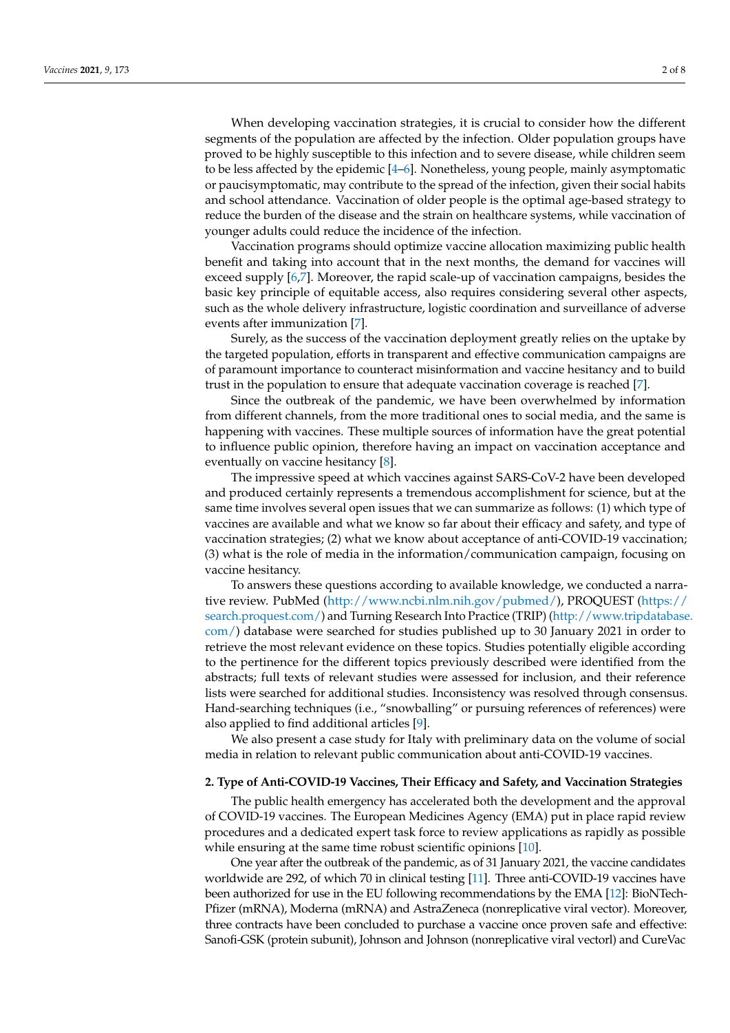When developing vaccination strategies, it is crucial to consider how the different segments of the population are affected by the infection. Older population groups have proved to be highly susceptible to this infection and to severe disease, while children seem to be less affected by the epidemic [\[4](#page-6-3)[–6\]](#page-6-4). Nonetheless, young people, mainly asymptomatic or paucisymptomatic, may contribute to the spread of the infection, given their social habits and school attendance. Vaccination of older people is the optimal age-based strategy to reduce the burden of the disease and the strain on healthcare systems, while vaccination of younger adults could reduce the incidence of the infection.

Vaccination programs should optimize vaccine allocation maximizing public health benefit and taking into account that in the next months, the demand for vaccines will exceed supply [\[6](#page-6-4)[,7\]](#page-6-5). Moreover, the rapid scale-up of vaccination campaigns, besides the basic key principle of equitable access, also requires considering several other aspects, such as the whole delivery infrastructure, logistic coordination and surveillance of adverse events after immunization [\[7\]](#page-6-5).

Surely, as the success of the vaccination deployment greatly relies on the uptake by the targeted population, efforts in transparent and effective communication campaigns are of paramount importance to counteract misinformation and vaccine hesitancy and to build trust in the population to ensure that adequate vaccination coverage is reached [\[7\]](#page-6-5).

Since the outbreak of the pandemic, we have been overwhelmed by information from different channels, from the more traditional ones to social media, and the same is happening with vaccines. These multiple sources of information have the great potential to influence public opinion, therefore having an impact on vaccination acceptance and eventually on vaccine hesitancy [\[8\]](#page-6-6).

The impressive speed at which vaccines against SARS-CoV-2 have been developed and produced certainly represents a tremendous accomplishment for science, but at the same time involves several open issues that we can summarize as follows: (1) which type of vaccines are available and what we know so far about their efficacy and safety, and type of vaccination strategies; (2) what we know about acceptance of anti-COVID-19 vaccination; (3) what is the role of media in the information/communication campaign, focusing on vaccine hesitancy.

To answers these questions according to available knowledge, we conducted a narrative review. PubMed [\(http://www.ncbi.nlm.nih.gov/pubmed/\)](http://www.ncbi.nlm.nih.gov/pubmed/), PROQUEST [\(https://](https://search.proquest.com/) [search.proquest.com/\)](https://search.proquest.com/) and Turning Research Into Practice (TRIP) [\(http://www.tripdatabase](http://www.tripdatabase.com/). [com/\)](http://www.tripdatabase.com/) database were searched for studies published up to 30 January 2021 in order to retrieve the most relevant evidence on these topics. Studies potentially eligible according to the pertinence for the different topics previously described were identified from the abstracts; full texts of relevant studies were assessed for inclusion, and their reference lists were searched for additional studies. Inconsistency was resolved through consensus. Hand-searching techniques (i.e., "snowballing" or pursuing references of references) were also applied to find additional articles [\[9\]](#page-6-7).

We also present a case study for Italy with preliminary data on the volume of social media in relation to relevant public communication about anti-COVID-19 vaccines.

## **2. Type of Anti-COVID-19 Vaccines, Their Efficacy and Safety, and Vaccination Strategies**

The public health emergency has accelerated both the development and the approval of COVID-19 vaccines. The European Medicines Agency (EMA) put in place rapid review procedures and a dedicated expert task force to review applications as rapidly as possible while ensuring at the same time robust scientific opinions [\[10\]](#page-6-8).

One year after the outbreak of the pandemic, as of 31 January 2021, the vaccine candidates worldwide are 292, of which 70 in clinical testing [\[11\]](#page-6-9). Three anti-COVID-19 vaccines have been authorized for use in the EU following recommendations by the EMA [\[12\]](#page-6-10): BioNTech-Pfizer (mRNA), Moderna (mRNA) and AstraZeneca (nonreplicative viral vector). Moreover, three contracts have been concluded to purchase a vaccine once proven safe and effective: Sanofi-GSK (protein subunit), Johnson and Johnson (nonreplicative viral vectorl) and CureVac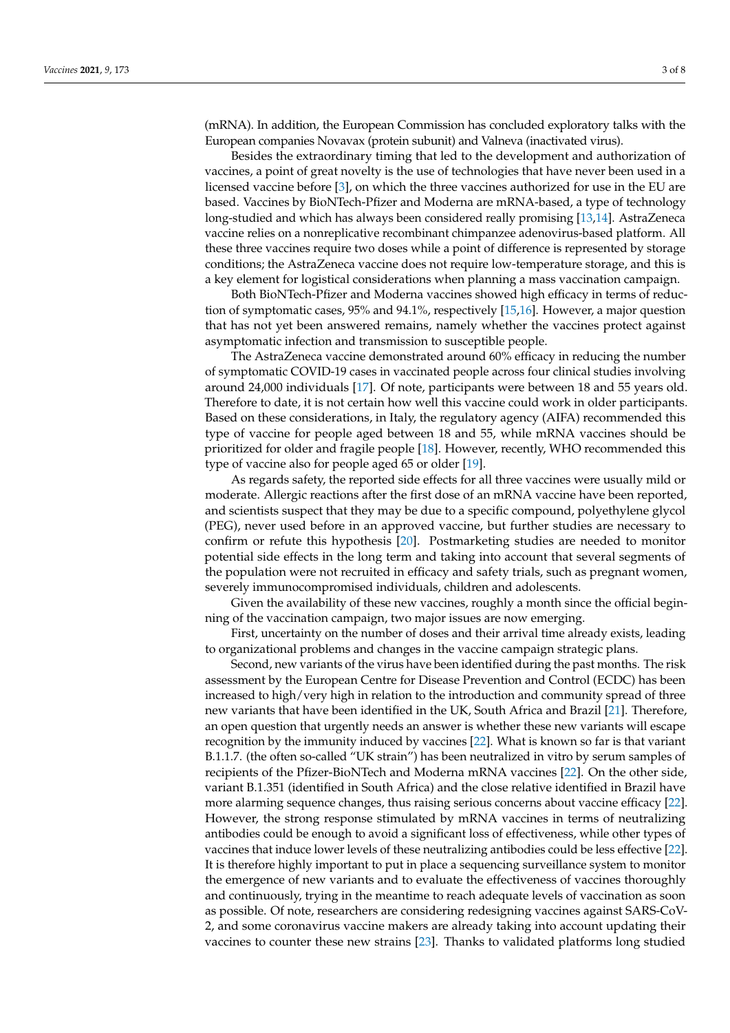(mRNA). In addition, the European Commission has concluded exploratory talks with the European companies Novavax (protein subunit) and Valneva (inactivated virus).

Besides the extraordinary timing that led to the development and authorization of vaccines, a point of great novelty is the use of technologies that have never been used in a licensed vaccine before [\[3\]](#page-6-2), on which the three vaccines authorized for use in the EU are based. Vaccines by BioNTech-Pfizer and Moderna are mRNA-based, a type of technology long-studied and which has always been considered really promising [\[13,](#page-6-11)[14\]](#page-6-12). AstraZeneca vaccine relies on a nonreplicative recombinant chimpanzee adenovirus-based platform. All these three vaccines require two doses while a point of difference is represented by storage conditions; the AstraZeneca vaccine does not require low-temperature storage, and this is a key element for logistical considerations when planning a mass vaccination campaign.

Both BioNTech-Pfizer and Moderna vaccines showed high efficacy in terms of reduction of symptomatic cases, 95% and 94.1%, respectively [\[15](#page-6-13)[,16\]](#page-6-14). However, a major question that has not yet been answered remains, namely whether the vaccines protect against asymptomatic infection and transmission to susceptible people.

The AstraZeneca vaccine demonstrated around 60% efficacy in reducing the number of symptomatic COVID-19 cases in vaccinated people across four clinical studies involving around 24,000 individuals [\[17\]](#page-6-15). Of note, participants were between 18 and 55 years old. Therefore to date, it is not certain how well this vaccine could work in older participants. Based on these considerations, in Italy, the regulatory agency (AIFA) recommended this type of vaccine for people aged between 18 and 55, while mRNA vaccines should be prioritized for older and fragile people [\[18\]](#page-6-16). However, recently, WHO recommended this type of vaccine also for people aged 65 or older [\[19\]](#page-6-17).

As regards safety, the reported side effects for all three vaccines were usually mild or moderate. Allergic reactions after the first dose of an mRNA vaccine have been reported, and scientists suspect that they may be due to a specific compound, polyethylene glycol (PEG), never used before in an approved vaccine, but further studies are necessary to confirm or refute this hypothesis [\[20\]](#page-6-18). Postmarketing studies are needed to monitor potential side effects in the long term and taking into account that several segments of the population were not recruited in efficacy and safety trials, such as pregnant women, severely immunocompromised individuals, children and adolescents.

Given the availability of these new vaccines, roughly a month since the official beginning of the vaccination campaign, two major issues are now emerging.

First, uncertainty on the number of doses and their arrival time already exists, leading to organizational problems and changes in the vaccine campaign strategic plans.

Second, new variants of the virus have been identified during the past months. The risk assessment by the European Centre for Disease Prevention and Control (ECDC) has been increased to high/very high in relation to the introduction and community spread of three new variants that have been identified in the UK, South Africa and Brazil [\[21\]](#page-6-19). Therefore, an open question that urgently needs an answer is whether these new variants will escape recognition by the immunity induced by vaccines [\[22\]](#page-6-20). What is known so far is that variant B.1.1.7. (the often so-called "UK strain") has been neutralized in vitro by serum samples of recipients of the Pfizer-BioNTech and Moderna mRNA vaccines [\[22\]](#page-6-20). On the other side, variant B.1.351 (identified in South Africa) and the close relative identified in Brazil have more alarming sequence changes, thus raising serious concerns about vaccine efficacy [\[22\]](#page-6-20). However, the strong response stimulated by mRNA vaccines in terms of neutralizing antibodies could be enough to avoid a significant loss of effectiveness, while other types of vaccines that induce lower levels of these neutralizing antibodies could be less effective [\[22\]](#page-6-20). It is therefore highly important to put in place a sequencing surveillance system to monitor the emergence of new variants and to evaluate the effectiveness of vaccines thoroughly and continuously, trying in the meantime to reach adequate levels of vaccination as soon as possible. Of note, researchers are considering redesigning vaccines against SARS-CoV-2, and some coronavirus vaccine makers are already taking into account updating their vaccines to counter these new strains [\[23\]](#page-7-0). Thanks to validated platforms long studied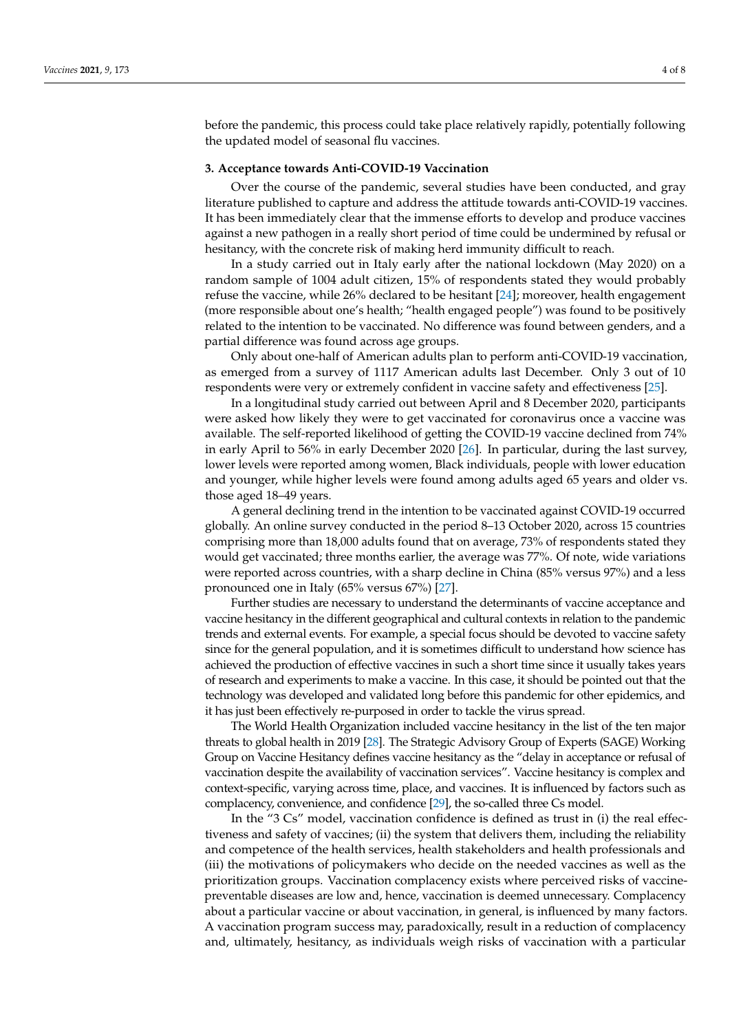before the pandemic, this process could take place relatively rapidly, potentially following the updated model of seasonal flu vaccines.

# **3. Acceptance towards Anti-COVID-19 Vaccination**

Over the course of the pandemic, several studies have been conducted, and gray literature published to capture and address the attitude towards anti-COVID-19 vaccines. It has been immediately clear that the immense efforts to develop and produce vaccines against a new pathogen in a really short period of time could be undermined by refusal or hesitancy, with the concrete risk of making herd immunity difficult to reach.

In a study carried out in Italy early after the national lockdown (May 2020) on a random sample of 1004 adult citizen, 15% of respondents stated they would probably refuse the vaccine, while 26% declared to be hesitant [\[24\]](#page-7-1); moreover, health engagement (more responsible about one's health; "health engaged people") was found to be positively related to the intention to be vaccinated. No difference was found between genders, and a partial difference was found across age groups.

Only about one-half of American adults plan to perform anti-COVID-19 vaccination, as emerged from a survey of 1117 American adults last December. Only 3 out of 10 respondents were very or extremely confident in vaccine safety and effectiveness [\[25\]](#page-7-2).

In a longitudinal study carried out between April and 8 December 2020, participants were asked how likely they were to get vaccinated for coronavirus once a vaccine was available. The self-reported likelihood of getting the COVID-19 vaccine declined from 74% in early April to 56% in early December 2020 [\[26\]](#page-7-3). In particular, during the last survey, lower levels were reported among women, Black individuals, people with lower education and younger, while higher levels were found among adults aged 65 years and older vs. those aged 18–49 years.

A general declining trend in the intention to be vaccinated against COVID-19 occurred globally. An online survey conducted in the period 8–13 October 2020, across 15 countries comprising more than 18,000 adults found that on average, 73% of respondents stated they would get vaccinated; three months earlier, the average was 77%. Of note, wide variations were reported across countries, with a sharp decline in China (85% versus 97%) and a less pronounced one in Italy (65% versus 67%) [\[27\]](#page-7-4).

Further studies are necessary to understand the determinants of vaccine acceptance and vaccine hesitancy in the different geographical and cultural contexts in relation to the pandemic trends and external events. For example, a special focus should be devoted to vaccine safety since for the general population, and it is sometimes difficult to understand how science has achieved the production of effective vaccines in such a short time since it usually takes years of research and experiments to make a vaccine. In this case, it should be pointed out that the technology was developed and validated long before this pandemic for other epidemics, and it has just been effectively re-purposed in order to tackle the virus spread.

The World Health Organization included vaccine hesitancy in the list of the ten major threats to global health in 2019 [\[28\]](#page-7-5). The Strategic Advisory Group of Experts (SAGE) Working Group on Vaccine Hesitancy defines vaccine hesitancy as the "delay in acceptance or refusal of vaccination despite the availability of vaccination services". Vaccine hesitancy is complex and context-specific, varying across time, place, and vaccines. It is influenced by factors such as complacency, convenience, and confidence [\[29\]](#page-7-6), the so-called three Cs model.

In the "3 Cs" model, vaccination confidence is defined as trust in (i) the real effectiveness and safety of vaccines; (ii) the system that delivers them, including the reliability and competence of the health services, health stakeholders and health professionals and (iii) the motivations of policymakers who decide on the needed vaccines as well as the prioritization groups. Vaccination complacency exists where perceived risks of vaccinepreventable diseases are low and, hence, vaccination is deemed unnecessary. Complacency about a particular vaccine or about vaccination, in general, is influenced by many factors. A vaccination program success may, paradoxically, result in a reduction of complacency and, ultimately, hesitancy, as individuals weigh risks of vaccination with a particular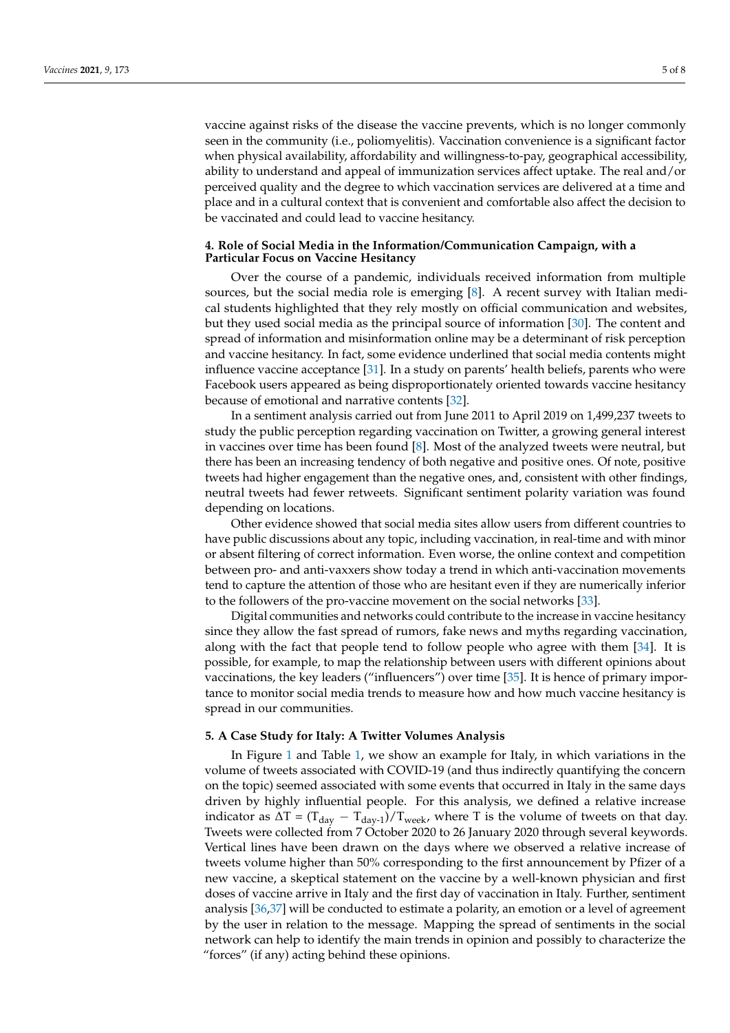vaccine against risks of the disease the vaccine prevents, which is no longer commonly seen in the community (i.e., poliomyelitis). Vaccination convenience is a significant factor when physical availability, affordability and willingness-to-pay, geographical accessibility, ability to understand and appeal of immunization services affect uptake. The real and/or perceived quality and the degree to which vaccination services are delivered at a time and place and in a cultural context that is convenient and comfortable also affect the decision to be vaccinated and could lead to vaccine hesitancy.

## **4. Role of Social Media in the Information/Communication Campaign, with a Particular Focus on Vaccine Hesitancy**

Over the course of a pandemic, individuals received information from multiple sources, but the social media role is emerging [\[8\]](#page-6-6). A recent survey with Italian medical students highlighted that they rely mostly on official communication and websites, but they used social media as the principal source of information [\[30\]](#page-7-7). The content and spread of information and misinformation online may be a determinant of risk perception and vaccine hesitancy. In fact, some evidence underlined that social media contents might influence vaccine acceptance [\[31\]](#page-7-8). In a study on parents' health beliefs, parents who were Facebook users appeared as being disproportionately oriented towards vaccine hesitancy because of emotional and narrative contents [\[32\]](#page-7-9).

In a sentiment analysis carried out from June 2011 to April 2019 on 1,499,237 tweets to study the public perception regarding vaccination on Twitter, a growing general interest in vaccines over time has been found [\[8\]](#page-6-6). Most of the analyzed tweets were neutral, but there has been an increasing tendency of both negative and positive ones. Of note, positive tweets had higher engagement than the negative ones, and, consistent with other findings, neutral tweets had fewer retweets. Significant sentiment polarity variation was found depending on locations.

Other evidence showed that social media sites allow users from different countries to have public discussions about any topic, including vaccination, in real-time and with minor or absent filtering of correct information. Even worse, the online context and competition between pro- and anti-vaxxers show today a trend in which anti-vaccination movements tend to capture the attention of those who are hesitant even if they are numerically inferior to the followers of the pro-vaccine movement on the social networks [\[33\]](#page-7-10).

Digital communities and networks could contribute to the increase in vaccine hesitancy since they allow the fast spread of rumors, fake news and myths regarding vaccination, along with the fact that people tend to follow people who agree with them [\[34\]](#page-7-11). It is possible, for example, to map the relationship between users with different opinions about vaccinations, the key leaders ("influencers") over time [\[35\]](#page-7-12). It is hence of primary importance to monitor social media trends to measure how and how much vaccine hesitancy is spread in our communities.

#### **5. A Case Study for Italy: A Twitter Volumes Analysis**

In Figure [1](#page-5-0) and Table [1,](#page-5-1) we show an example for Italy, in which variations in the volume of tweets associated with COVID-19 (and thus indirectly quantifying the concern on the topic) seemed associated with some events that occurred in Italy in the same days driven by highly influential people. For this analysis, we defined a relative increase indicator as  $\Delta T = (T_{day} - T_{day-1})/T_{week}$ , where T is the volume of tweets on that day. Tweets were collected from 7 October 2020 to 26 January 2020 through several keywords. Vertical lines have been drawn on the days where we observed a relative increase of tweets volume higher than 50% corresponding to the first announcement by Pfizer of a new vaccine, a skeptical statement on the vaccine by a well-known physician and first doses of vaccine arrive in Italy and the first day of vaccination in Italy. Further, sentiment analysis [\[36,](#page-7-13)[37\]](#page-7-14) will be conducted to estimate a polarity, an emotion or a level of agreement by the user in relation to the message. Mapping the spread of sentiments in the social network can help to identify the main trends in opinion and possibly to characterize the "forces" (if any) acting behind these opinions.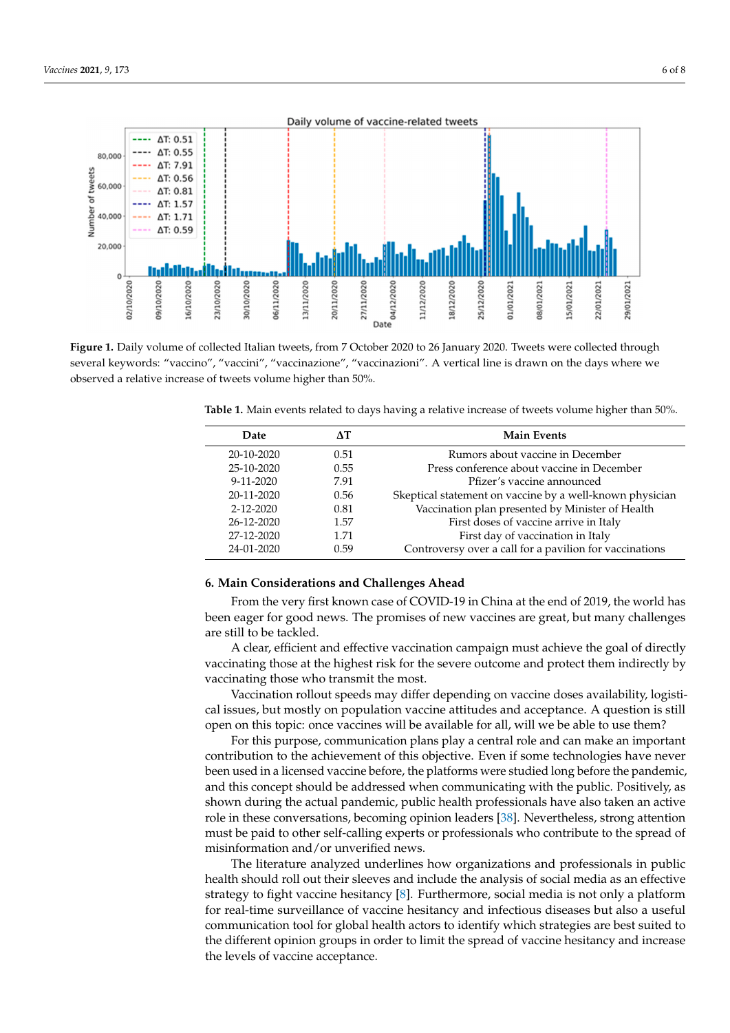<span id="page-5-0"></span>

**Figure 1.** Daily volume of collected Italian tweets, from 7 October 2020 to 26 January 2020. Tweets were collected through several keywords: "vaccino", "vaccini", "vaccinazione", "vaccinazioni". A vertical line is drawn on the days where we several keywords: "vaccino", "vaccini", "vaccinazione", "vaccinazioni". A vertical line is drawn on the days where we observed a relative increase of tweets volume higher than 50%. observed a relative increase of tweets volume higher than 50%. **Figure 1.** Daily volume of collected Italian tweets, from 7 October 2020 to 26 January 2020. Tweets were collected through

<span id="page-5-1"></span>**Table 1.** Main events related to days having a relative increase of tweets volume higher than 50%.

27-12-2020 1.71 First day of vaccination in Italy

| <b>Date</b>     |      | <b>Main Events</b>                                       |
|-----------------|------|----------------------------------------------------------|
| 20-10-2020      | 0.51 | Rumors about vaccine in December                         |
| 25-10-2020      | 0.55 | Press conference about vaccine in December               |
| $9 - 11 - 2020$ | 7.91 | Pfizer's vaccine announced                               |
| 20-11-2020      | 0.56 | Skeptical statement on vaccine by a well-known physician |
| $2 - 12 - 2020$ | 0.81 | Vaccination plan presented by Minister of Health         |
| 26-12-2020      | 1.57 | First doses of vaccine arrive in Italy                   |
| 27-12-2020      | 1.71 | First day of vaccination in Italy                        |
| 24-01-2020      | 0.59 | Controversy over a call for a pavilion for vaccinations  |

#### **6. Main Considerations and Challenges Ahead**

From the very first known case of COVID-19 in China at the end of 2019, the world has been eager for good news. The promises of new vaccines are great, but many challenges are still to be tackled.

A clear, efficient and effective vaccination campaign must achieve the goal of directly vaccinating those at the highest risk for the severe outcome and protect them indirectly by vaccinating those who transmit the most.

Vaccination rollout speeds may differ depending on vaccine doses availability, logistical issues, but mostly on population vaccine attitudes and acceptance. A question is still open on this topic: once vaccines will be available for all, will we be able to use them?

For this purpose, communication plans play a central role and can make an important contribution to the achievement of this objective. Even if some technologies have never been used in a licensed vaccine before, the platforms were studied long before the pandemic, and this concept should be addressed when communicating with the public. Positively, as shown during the actual pandemic, public health professionals have also taken an active role in these conversations, becoming opinion leaders [\[38\]](#page-7-15). Nevertheless, strong attention must be paid to other self-calling experts or professionals who contribute to the spread of misinformation and/or unverified news.

The literature analyzed underlines how organizations and professionals in public health should roll out their sleeves and include the analysis of social media as an effective strategy to fight vaccine hesitancy [\[8\]](#page-6-6). Furthermore, social media is not only a platform for real-time surveillance of vaccine hesitancy and infectious diseases but also a useful communication tool for global health actors to identify which strategies are best suited to the different opinion groups in order to limit the spread of vaccine hesitancy and increase the levels of vaccine acceptance.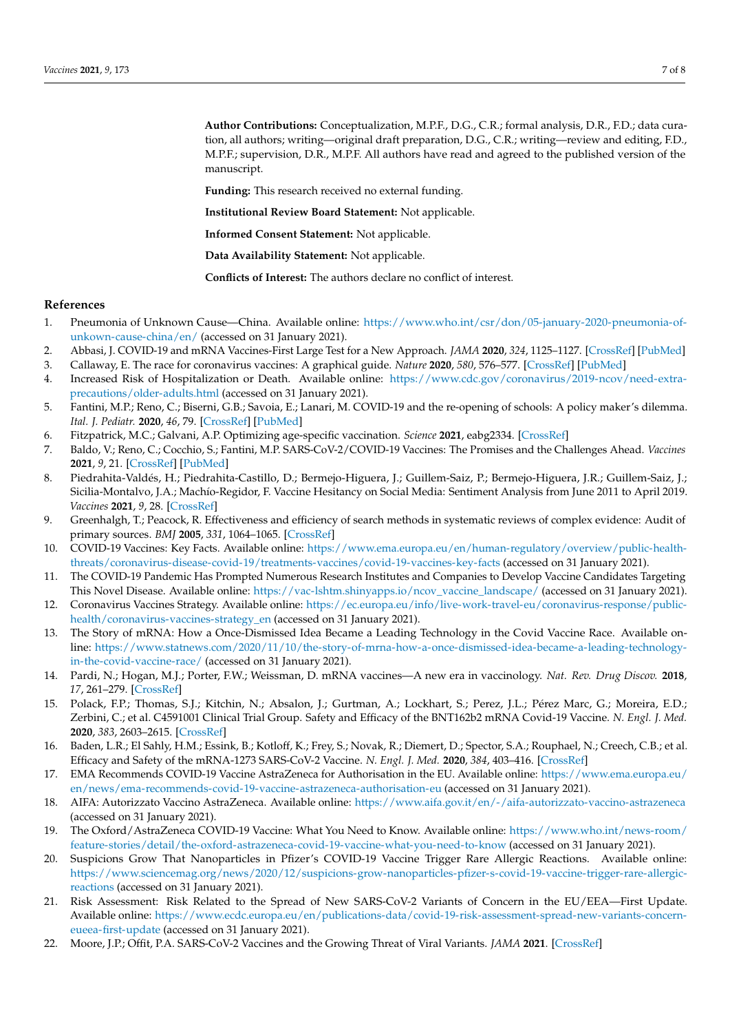**Author Contributions:** Conceptualization, M.P.F., D.G., C.R.; formal analysis, D.R., F.D.; data curation, all authors; writing—original draft preparation, D.G., C.R.; writing—review and editing, F.D., M.P.F.; supervision, D.R., M.P.F. All authors have read and agreed to the published version of the manuscript.

**Funding:** This research received no external funding.

**Institutional Review Board Statement:** Not applicable.

**Informed Consent Statement:** Not applicable.

**Data Availability Statement:** Not applicable.

**Conflicts of Interest:** The authors declare no conflict of interest.

#### **References**

- <span id="page-6-0"></span>1. Pneumonia of Unknown Cause—China. Available online: [https://www.who.int/csr/don/05-january-2020-pneumonia-of](https://www.who.int/csr/don/05-january-2020-pneumonia-of-unkown-cause-china/en/)[unkown-cause-china/en/](https://www.who.int/csr/don/05-january-2020-pneumonia-of-unkown-cause-china/en/) (accessed on 31 January 2021).
- <span id="page-6-1"></span>2. Abbasi, J. COVID-19 and mRNA Vaccines-First Large Test for a New Approach. *JAMA* **2020**, *324*, 1125–1127. [\[CrossRef\]](http://doi.org/10.1001/jama.2020.16866) [\[PubMed\]](http://www.ncbi.nlm.nih.gov/pubmed/32880613)
- <span id="page-6-2"></span>3. Callaway, E. The race for coronavirus vaccines: A graphical guide. *Nature* **2020**, *580*, 576–577. [\[CrossRef\]](http://doi.org/10.1038/d41586-020-01221-y) [\[PubMed\]](http://www.ncbi.nlm.nih.gov/pubmed/32346146)
- <span id="page-6-3"></span>4. Increased Risk of Hospitalization or Death. Available online: [https://www.cdc.gov/coronavirus/2019-ncov/need-extra](https://www.cdc.gov/coronavirus/2019-ncov/need-extra-precautions/older-adults.html)[precautions/older-adults.html](https://www.cdc.gov/coronavirus/2019-ncov/need-extra-precautions/older-adults.html) (accessed on 31 January 2021).
- 5. Fantini, M.P.; Reno, C.; Biserni, G.B.; Savoia, E.; Lanari, M. COVID-19 and the re-opening of schools: A policy maker's dilemma. *Ital. J. Pediatr.* **2020**, *46*, 79. [\[CrossRef\]](http://doi.org/10.1186/s13052-020-00844-1) [\[PubMed\]](http://www.ncbi.nlm.nih.gov/pubmed/32517815)
- <span id="page-6-4"></span>6. Fitzpatrick, M.C.; Galvani, A.P. Optimizing age-specific vaccination. *Science* **2021**, eabg2334. [\[CrossRef\]](http://doi.org/10.1126/science.abg2334)
- <span id="page-6-5"></span>7. Baldo, V.; Reno, C.; Cocchio, S.; Fantini, M.P. SARS-CoV-2/COVID-19 Vaccines: The Promises and the Challenges Ahead. *Vaccines* **2021**, *9*, 21. [\[CrossRef\]](http://doi.org/10.3390/vaccines9010021) [\[PubMed\]](http://www.ncbi.nlm.nih.gov/pubmed/33406785)
- <span id="page-6-6"></span>8. Piedrahita-Valdés, H.; Piedrahita-Castillo, D.; Bermejo-Higuera, J.; Guillem-Saiz, P.; Bermejo-Higuera, J.R.; Guillem-Saiz, J.; Sicilia-Montalvo, J.A.; Machío-Regidor, F. Vaccine Hesitancy on Social Media: Sentiment Analysis from June 2011 to April 2019. *Vaccines* **2021**, *9*, 28. [\[CrossRef\]](http://doi.org/10.3390/vaccines9010028)
- <span id="page-6-7"></span>9. Greenhalgh, T.; Peacock, R. Effectiveness and efficiency of search methods in systematic reviews of complex evidence: Audit of primary sources. *BMJ* **2005**, *331*, 1064–1065. [\[CrossRef\]](http://doi.org/10.1136/bmj.38636.593461.68)
- <span id="page-6-8"></span>10. COVID-19 Vaccines: Key Facts. Available online: [https://www.ema.europa.eu/en/human-regulatory/overview/public-health](https://www.ema.europa.eu/en/human-regulatory/overview/public-health-threats/coronavirus-disease-covid-19/treatments-vaccines/covid-19-vaccines-key-facts)[threats/coronavirus-disease-covid-19/treatments-vaccines/covid-19-vaccines-key-facts](https://www.ema.europa.eu/en/human-regulatory/overview/public-health-threats/coronavirus-disease-covid-19/treatments-vaccines/covid-19-vaccines-key-facts) (accessed on 31 January 2021).
- <span id="page-6-9"></span>11. The COVID-19 Pandemic Has Prompted Numerous Research Institutes and Companies to Develop Vaccine Candidates Targeting This Novel Disease. Available online: [https://vac-lshtm.shinyapps.io/ncov\\_vaccine\\_landscape/](https://vac-lshtm.shinyapps.io/ncov_vaccine_landscape/) (accessed on 31 January 2021).
- <span id="page-6-10"></span>12. Coronavirus Vaccines Strategy. Available online: [https://ec.europa.eu/info/live-work-travel-eu/coronavirus-response/public](https://ec.europa.eu/info/live-work-travel-eu/coronavirus-response/public-health/coronavirus-vaccines-strategy_en)[health/coronavirus-vaccines-strategy\\_en](https://ec.europa.eu/info/live-work-travel-eu/coronavirus-response/public-health/coronavirus-vaccines-strategy_en) (accessed on 31 January 2021).
- <span id="page-6-11"></span>13. The Story of mRNA: How a Once-Dismissed Idea Became a Leading Technology in the Covid Vaccine Race. Available online: [https://www.statnews.com/2020/11/10/the-story-of-mrna-how-a-once-dismissed-idea-became-a-leading-technology](https://www.statnews.com/2020/11/10/the-story-of-mrna-how-a-once-dismissed-idea-became-a-leading-technology-in-the-covid-vaccine-race/)[in-the-covid-vaccine-race/](https://www.statnews.com/2020/11/10/the-story-of-mrna-how-a-once-dismissed-idea-became-a-leading-technology-in-the-covid-vaccine-race/) (accessed on 31 January 2021).
- <span id="page-6-12"></span>14. Pardi, N.; Hogan, M.J.; Porter, F.W.; Weissman, D. mRNA vaccines—A new era in vaccinology. *Nat. Rev. Drug Discov.* **2018**, *17*, 261–279. [\[CrossRef\]](http://doi.org/10.1038/nrd.2017.243)
- <span id="page-6-13"></span>15. Polack, F.P.; Thomas, S.J.; Kitchin, N.; Absalon, J.; Gurtman, A.; Lockhart, S.; Perez, J.L.; Pérez Marc, G.; Moreira, E.D.; Zerbini, C.; et al. C4591001 Clinical Trial Group. Safety and Efficacy of the BNT162b2 mRNA Covid-19 Vaccine. *N. Engl. J. Med.* **2020**, *383*, 2603–2615. [\[CrossRef\]](http://doi.org/10.1056/NEJMoa2034577)
- <span id="page-6-14"></span>16. Baden, L.R.; El Sahly, H.M.; Essink, B.; Kotloff, K.; Frey, S.; Novak, R.; Diemert, D.; Spector, S.A.; Rouphael, N.; Creech, C.B.; et al. Efficacy and Safety of the mRNA-1273 SARS-CoV-2 Vaccine. *N. Engl. J. Med.* **2020**, *384*, 403–416. [\[CrossRef\]](http://doi.org/10.1056/NEJMoa2035389)
- <span id="page-6-15"></span>17. EMA Recommends COVID-19 Vaccine AstraZeneca for Authorisation in the EU. Available online: [https://www.ema.europa.eu/](https://www.ema.europa.eu/en/news/ema-recommends-covid-19-vaccine-astrazeneca-authorisation-eu) [en/news/ema-recommends-covid-19-vaccine-astrazeneca-authorisation-eu](https://www.ema.europa.eu/en/news/ema-recommends-covid-19-vaccine-astrazeneca-authorisation-eu) (accessed on 31 January 2021).
- <span id="page-6-16"></span>18. AIFA: Autorizzato Vaccino AstraZeneca. Available online: <https://www.aifa.gov.it/en/-/aifa-autorizzato-vaccino-astrazeneca> (accessed on 31 January 2021).
- <span id="page-6-17"></span>19. The Oxford/AstraZeneca COVID-19 Vaccine: What You Need to Know. Available online: [https://www.who.int/news-room/](https://www.who.int/news-room/feature-stories/detail/the-oxford-astrazeneca-covid-19-vaccine-what-you-need-to-know) [feature-stories/detail/the-oxford-astrazeneca-covid-19-vaccine-what-you-need-to-know](https://www.who.int/news-room/feature-stories/detail/the-oxford-astrazeneca-covid-19-vaccine-what-you-need-to-know) (accessed on 31 January 2021).
- <span id="page-6-18"></span>20. Suspicions Grow That Nanoparticles in Pfizer's COVID-19 Vaccine Trigger Rare Allergic Reactions. Available online: [https://www.sciencemag.org/news/2020/12/suspicions-grow-nanoparticles-pfizer-s-covid-19-vaccine-trigger-rare-allergic](https://www.sciencemag.org/news/2020/12/suspicions-grow-nanoparticles-pfizer-s-covid-19-vaccine-trigger-rare-allergic-reactions)[reactions](https://www.sciencemag.org/news/2020/12/suspicions-grow-nanoparticles-pfizer-s-covid-19-vaccine-trigger-rare-allergic-reactions) (accessed on 31 January 2021).
- <span id="page-6-19"></span>21. Risk Assessment: Risk Related to the Spread of New SARS-CoV-2 Variants of Concern in the EU/EEA—First Update. Available online: [https://www.ecdc.europa.eu/en/publications-data/covid-19-risk-assessment-spread-new-variants-concern](https://www.ecdc.europa.eu/en/publications-data/covid-19-risk-assessment-spread-new-variants-concern-eueea-first-update)[eueea-first-update](https://www.ecdc.europa.eu/en/publications-data/covid-19-risk-assessment-spread-new-variants-concern-eueea-first-update) (accessed on 31 January 2021).
- <span id="page-6-20"></span>22. Moore, J.P.; Offit, P.A. SARS-CoV-2 Vaccines and the Growing Threat of Viral Variants. *JAMA* **2021**. [\[CrossRef\]](http://doi.org/10.1001/jama.2021.1114)